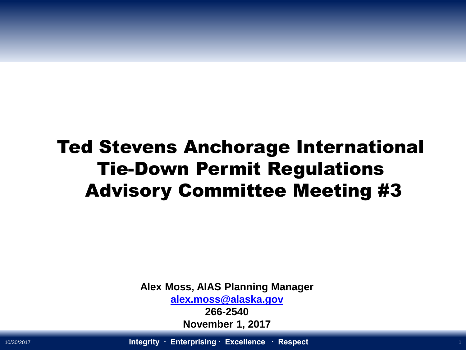## Ted Stevens Anchorage International Tie-Down Permit Regulations Advisory Committee Meeting #3

**Alex Moss, AIAS Planning Manager [alex.moss@alaska.gov](mailto:alex.moss@alaska.gov)**

> **266-2540 November 1, 2017**

10/30/2017 **Integrity ∙ Enterprising ∙ Excellence ∙ Respect** <sup>1</sup>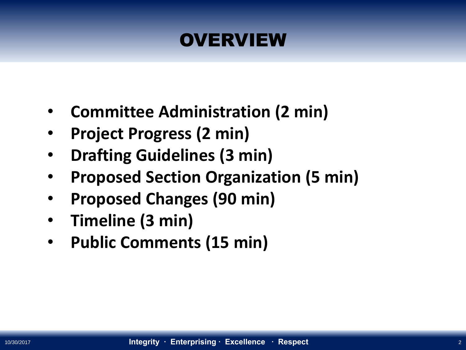### **OVERVIEW**

- **Committee Administration (2 min)**
- **Project Progress (2 min)**
- **Drafting Guidelines (3 min)**
- **Proposed Section Organization (5 min)**
- **Proposed Changes (90 min)**
- **Timeline (3 min)**
- **Public Comments (15 min)**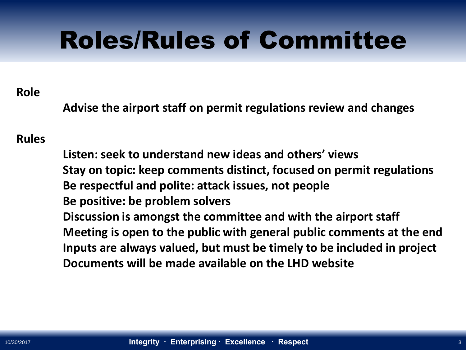# Roles/Rules of Committee

### **Role**

**Advise the airport staff on permit regulations review and changes** 

### **Rules**

**Listen: seek to understand new ideas and others' views Stay on topic: keep comments distinct, focused on permit regulations Be respectful and polite: attack issues, not people Be positive: be problem solvers Discussion is amongst the committee and with the airport staff Meeting is open to the public with general public comments at the end Inputs are always valued, but must be timely to be included in project Documents will be made available on the LHD website**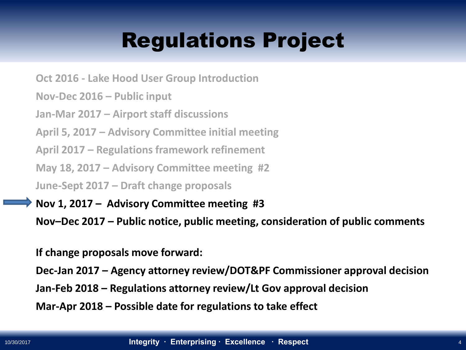## Regulations Project

**Oct 2016 - Lake Hood User Group Introduction**

**Nov-Dec 2016 – Public input**

**Jan-Mar 2017 – Airport staff discussions**

**April 5, 2017 – Advisory Committee initial meeting**

**April 2017 – Regulations framework refinement** 

**May 18, 2017 – Advisory Committee meeting #2**

**June-Sept 2017 – Draft change proposals** 

**Nov 1, 2017 – Advisory Committee meeting #3**

**Nov–Dec 2017 – Public notice, public meeting, consideration of public comments**

**If change proposals move forward:**

**Dec-Jan 2017 – Agency attorney review/DOT&PF Commissioner approval decision**

**Jan-Feb 2018 – Regulations attorney review/Lt Gov approval decision**

**Mar-Apr 2018 – Possible date for regulations to take effect**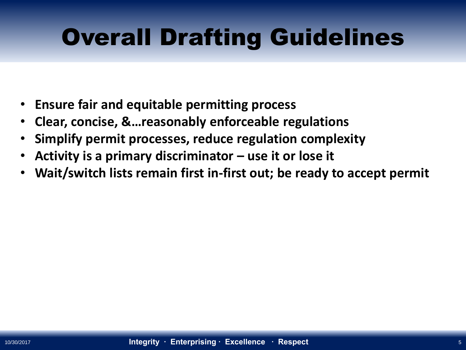# Overall Drafting Guidelines

- **Ensure fair and equitable permitting process**
- **Clear, concise, &…reasonably enforceable regulations**
- **Simplify permit processes, reduce regulation complexity**
- **Activity is a primary discriminator – use it or lose it**
- **Wait/switch lists remain first in-first out; be ready to accept permit**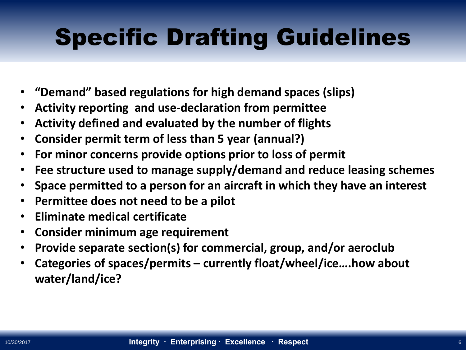# Specific Drafting Guidelines

- **"Demand" based regulations for high demand spaces (slips)**
- **Activity reporting and use-declaration from permittee**
- **Activity defined and evaluated by the number of flights**
- **Consider permit term of less than 5 year (annual?)**
- **For minor concerns provide options prior to loss of permit**
- **Fee structure used to manage supply/demand and reduce leasing schemes**
- **Space permitted to a person for an aircraft in which they have an interest**
- **Permittee does not need to be a pilot**
- **Eliminate medical certificate**
- **Consider minimum age requirement**
- **Provide separate section(s) for commercial, group, and/or aeroclub**
- **Categories of spaces/permits – currently float/wheel/ice….how about water/land/ice?**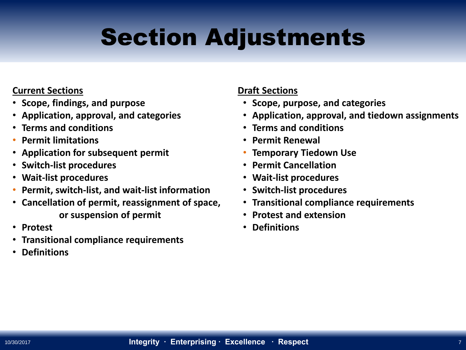# Section Adjustments

#### **Current Sections**

- **Scope, findings, and purpose**
- **Application, approval, and categories**
- **Terms and conditions**
- **Permit limitations**
- **Application for subsequent permit**
- **Switch-list procedures**
- **Wait-list procedures**
- **Permit, switch-list, and wait-list information**
- **Cancellation of permit, reassignment of space, or suspension of permit**
- **Protest**
- **Transitional compliance requirements**
- **Definitions**

#### **Draft Sections**

- **Scope, purpose, and categories**
- **Application, approval, and tiedown assignments**
- **Terms and conditions**
- **Permit Renewal**
- **Temporary Tiedown Use**
- **Permit Cancellation**
- **Wait-list procedures**
- **Switch-list procedures**
- **Transitional compliance requirements**
- **Protest and extension**
- **Definitions**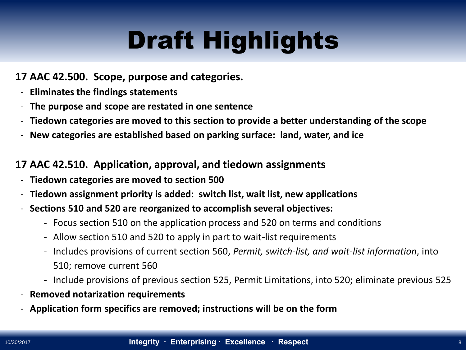### **17 AAC 42.500. Scope, purpose and categories.**

- **Eliminates the findings statements**
- **The purpose and scope are restated in one sentence**
- **Tiedown categories are moved to this section to provide a better understanding of the scope**
- **New categories are established based on parking surface: land, water, and ice**

### **17 AAC 42.510. Application, approval, and tiedown assignments**

- **Tiedown categories are moved to section 500**
- **Tiedown assignment priority is added: switch list, wait list, new applications**
- **Sections 510 and 520 are reorganized to accomplish several objectives:**
	- Focus section 510 on the application process and 520 on terms and conditions
	- Allow section 510 and 520 to apply in part to wait-list requirements
	- Includes provisions of current section 560, *Permit, switch-list, and wait-list information*, into 510; remove current 560
	- Include provisions of previous section 525, Permit Limitations, into 520; eliminate previous 525
- **Removed notarization requirements**
- **Application form specifics are removed; instructions will be on the form**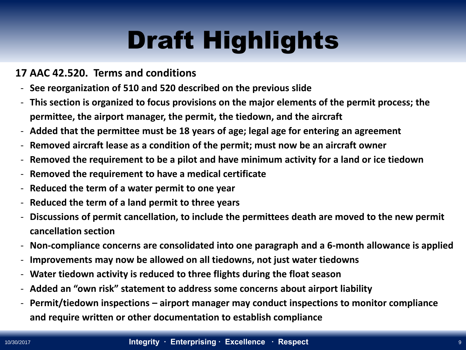### **17 AAC 42.520. Terms and conditions**

- **See reorganization of 510 and 520 described on the previous slide**
- **This section is organized to focus provisions on the major elements of the permit process; the permittee, the airport manager, the permit, the tiedown, and the aircraft**
- **Added that the permittee must be 18 years of age; legal age for entering an agreement**
- **Removed aircraft lease as a condition of the permit; must now be an aircraft owner**
- **Removed the requirement to be a pilot and have minimum activity for a land or ice tiedown**
- **Removed the requirement to have a medical certificate**
- **Reduced the term of a water permit to one year**
- **Reduced the term of a land permit to three years**
- **Discussions of permit cancellation, to include the permittees death are moved to the new permit cancellation section**
- **Non-compliance concerns are consolidated into one paragraph and a 6-month allowance is applied**
- **Improvements may now be allowed on all tiedowns, not just water tiedowns**
- **Water tiedown activity is reduced to three flights during the float season**
- **Added an "own risk" statement to address some concerns about airport liability**
- **Permit/tiedown inspections – airport manager may conduct inspections to monitor compliance and require written or other documentation to establish compliance**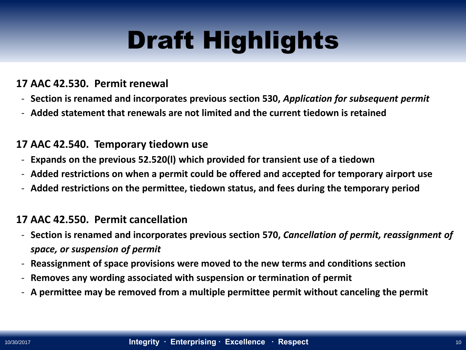### **17 AAC 42.530. Permit renewal**

- **Section is renamed and incorporates previous section 530,** *Application for subsequent permit*
- **Added statement that renewals are not limited and the current tiedown is retained**

#### **17 AAC 42.540. Temporary tiedown use**

- **Expands on the previous 52.520(l) which provided for transient use of a tiedown**
- **Added restrictions on when a permit could be offered and accepted for temporary airport use**
- **Added restrictions on the permittee, tiedown status, and fees during the temporary period**

#### **17 AAC 42.550. Permit cancellation**

- **Section is renamed and incorporates previous section 570,** *Cancellation of permit, reassignment of space, or suspension of permit*
- **Reassignment of space provisions were moved to the new terms and conditions section**
- **Removes any wording associated with suspension or termination of permit**
- **A permittee may be removed from a multiple permittee permit without canceling the permit**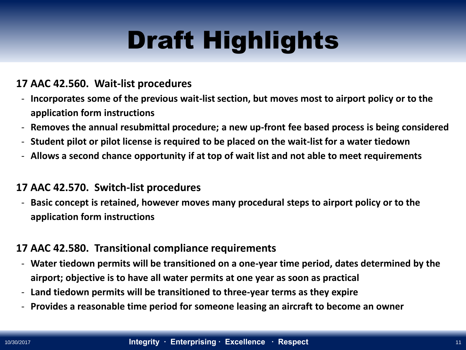### **17 AAC 42.560. Wait-list procedures**

- **Incorporates some of the previous wait-list section, but moves most to airport policy or to the application form instructions**
- **Removes the annual resubmittal procedure; a new up-front fee based process is being considered**
- **Student pilot or pilot license is required to be placed on the wait-list for a water tiedown**
- **Allows a second chance opportunity if at top of wait list and not able to meet requirements**

#### **17 AAC 42.570. Switch-list procedures**

- **Basic concept is retained, however moves many procedural steps to airport policy or to the application form instructions**

#### **17 AAC 42.580. Transitional compliance requirements**

- **Water tiedown permits will be transitioned on a one-year time period, dates determined by the airport; objective is to have all water permits at one year as soon as practical**
- **Land tiedown permits will be transitioned to three-year terms as they expire**
- **Provides a reasonable time period for someone leasing an aircraft to become an owner**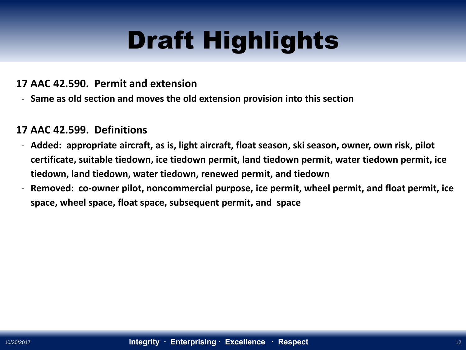### **17 AAC 42.590. Permit and extension**

- **Same as old section and moves the old extension provision into this section**

### **17 AAC 42.599. Definitions**

- **Added: appropriate aircraft, as is, light aircraft, float season, ski season, owner, own risk, pilot certificate, suitable tiedown, ice tiedown permit, land tiedown permit, water tiedown permit, ice tiedown, land tiedown, water tiedown, renewed permit, and tiedown**
- **Removed: co-owner pilot, noncommercial purpose, ice permit, wheel permit, and float permit, ice space, wheel space, float space, subsequent permit, and space**